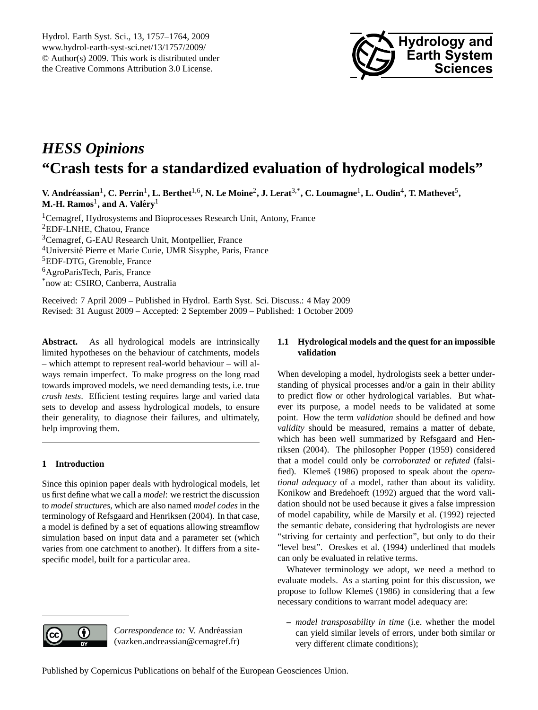

# <span id="page-0-0"></span>*HESS Opinions* **"Crash tests for a standardized evaluation of hydrological models"**

 $V$ . Andréassian<sup>1</sup>, C. Perrin<sup>1</sup>, L. Berthet<sup>1,6</sup>, N. Le Moine<sup>2</sup>, J. Lerat<sup>3,\*</sup>, C. Loumagne<sup>1</sup>, L. Oudin<sup>4</sup>, T. Mathevet<sup>5</sup>,  $\mathbf{M}\text{-}\mathbf{H}\text{-}\mathbf{Ramos}^{1}\text{, and }\mathbf{A}\text{-}\mathbf{Val\'{e}ry}^{1}\text{.}$ 

<sup>1</sup> Cemagref, Hydrosystems and Bioprocesses Research Unit, Antony, France <sup>2</sup>EDF-LNHE, Chatou, France <sup>3</sup>Cemagref, G-EAU Research Unit, Montpellier, France <sup>4</sup>Université Pierre et Marie Curie, UMR Sisyphe, Paris, France <sup>5</sup>EDF-DTG, Grenoble, France <sup>6</sup>AgroParisTech, Paris, France \*now at: CSIRO, Canberra, Australia

Received: 7 April 2009 – Published in Hydrol. Earth Syst. Sci. Discuss.: 4 May 2009 Revised: 31 August 2009 – Accepted: 2 September 2009 – Published: 1 October 2009

**Abstract.** As all hydrological models are intrinsically limited hypotheses on the behaviour of catchments, models – which attempt to represent real-world behaviour – will always remain imperfect. To make progress on the long road towards improved models, we need demanding tests, i.e. true *crash tests*. Efficient testing requires large and varied data sets to develop and assess hydrological models, to ensure their generality, to diagnose their failures, and ultimately, help improving them.

# **1 Introduction**

Since this opinion paper deals with hydrological models, let us first define what we call a *model*: we restrict the discussion to *model structures*, which are also named *model codes* in the terminology of Refsgaard and Henriksen (2004). In that case, a model is defined by a set of equations allowing streamflow simulation based on input data and a parameter set (which varies from one catchment to another). It differs from a sitespecific model, built for a particular area.

# **1.1 Hydrological models and the quest for an impossible validation**

When developing a model, hydrologists seek a better understanding of physical processes and/or a gain in their ability to predict flow or other hydrological variables. But whatever its purpose, a model needs to be validated at some point. How the term *validation* should be defined and how *validity* should be measured, remains a matter of debate, which has been well summarized by Refsgaard and Henriksen (2004). The philosopher Popper (1959) considered that a model could only be *corroborated* or *refuted* (falsified). Klemeš (1986) proposed to speak about the *operational adequacy* of a model, rather than about its validity. Konikow and Bredehoeft (1992) argued that the word validation should not be used because it gives a false impression of model capability, while de Marsily et al. (1992) rejected the semantic debate, considering that hydrologists are never "striving for certainty and perfection", but only to do their "level best". Oreskes et al. (1994) underlined that models can only be evaluated in relative terms.

Whatever terminology we adopt, we need a method to evaluate models. As a starting point for this discussion, we propose to follow Klemeš (1986) in considering that a few necessary conditions to warrant model adequacy are:



*Correspondence to:* V. Andréassian (vazken.andreassian@cemagref.fr)

**–** *model transposability in time* (i.e. whether the model can yield similar levels of errors, under both similar or very different climate conditions);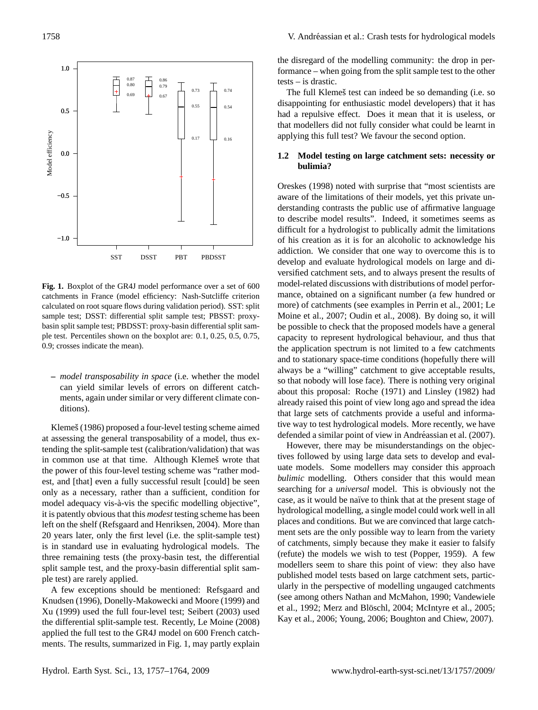

**Fig. 1.** Boxplot of the GR4J model performance over a set of 600 catchments in France (model efficiency: Nash-Sutcliffe criterion calculated on root square flows during validation period). SST: split sample test; DSST: differential split sample test; PBSST: proxybasin split sample test; PBDSST: proxy-basin differential split sample test. Percentiles shown on the boxplot are: 0.1, 0.25, 0.5, 0.75, 0.9; crosses indicate the mean).

**–** *model transposability in space* (i.e. whether the model can yield similar levels of errors on different catchments, again under similar or very different climate conditions).

Klemeš (1986) proposed a four-level testing scheme aimed at assessing the general transposability of a model, thus extending the split-sample test (calibration/validation) that was in common use at that time. Although Klemeš wrote that the power of this four-level testing scheme was "rather modest, and [that] even a fully successful result [could] be seen only as a necessary, rather than a sufficient, condition for model adequacy vis-à-vis the specific modelling objective", it is patently obvious that this *modest* testing scheme has been left on the shelf (Refsgaard and Henriksen, 2004). More than 20 years later, only the first level (i.e. the split-sample test) is in standard use in evaluating hydrological models. The three remaining tests (the proxy-basin test, the differential split sample test, and the proxy-basin differential split sample test) are rarely applied.

A few exceptions should be mentioned: Refsgaard and Knudsen (1996), Donelly-Makowecki and Moore (1999) and Xu (1999) used the full four-level test; Seibert (2003) used the differential split-sample test. Recently, Le Moine (2008) applied the full test to the GR4J model on 600 French catchments. The results, summarized in Fig. 1, may partly explain the disregard of the modelling community: the drop in performance – when going from the split sample test to the other tests – is drastic.

The full Klemeš test can indeed be so demanding (i.e. so disappointing for enthusiastic model developers) that it has had a repulsive effect. Does it mean that it is useless, or that modellers did not fully consider what could be learnt in applying this full test? We favour the second option.

# **1.2 Model testing on large catchment sets: necessity or bulimia?**

Oreskes (1998) noted with surprise that "most scientists are aware of the limitations of their models, yet this private understanding contrasts the public use of affirmative language to describe model results". Indeed, it sometimes seems as difficult for a hydrologist to publically admit the limitations of his creation as it is for an alcoholic to acknowledge his addiction. We consider that one way to overcome this is to develop and evaluate hydrological models on large and diversified catchment sets, and to always present the results of model-related discussions with distributions of model performance, obtained on a significant number (a few hundred or more) of catchments (see examples in Perrin et al., 2001; Le Moine et al., 2007; Oudin et al., 2008). By doing so, it will be possible to check that the proposed models have a general capacity to represent hydrological behaviour, and thus that the application spectrum is not limited to a few catchments and to stationary space-time conditions (hopefully there will always be a "willing" catchment to give acceptable results, so that nobody will lose face). There is nothing very original about this proposal: Roche (1971) and Linsley (1982) had already raised this point of view long ago and spread the idea that large sets of catchments provide a useful and informative way to test hydrological models. More recently, we have defended a similar point of view in Andréassian et al. (2007).

However, there may be misunderstandings on the objectives followed by using large data sets to develop and evaluate models. Some modellers may consider this approach *bulimic* modelling. Others consider that this would mean searching for a *universal* model. This is obviously not the case, as it would be naïve to think that at the present stage of hydrological modelling, a single model could work well in all places and conditions. But we are convinced that large catchment sets are the only possible way to learn from the variety of catchments, simply because they make it easier to falsify (refute) the models we wish to test (Popper, 1959). A few modellers seem to share this point of view: they also have published model tests based on large catchment sets, particularly in the perspective of modelling ungauged catchments (see among others Nathan and McMahon, 1990; Vandewiele et al., 1992; Merz and Blöschl, 2004; McIntyre et al., 2005; Kay et al., 2006; Young, 2006; Boughton and Chiew, 2007).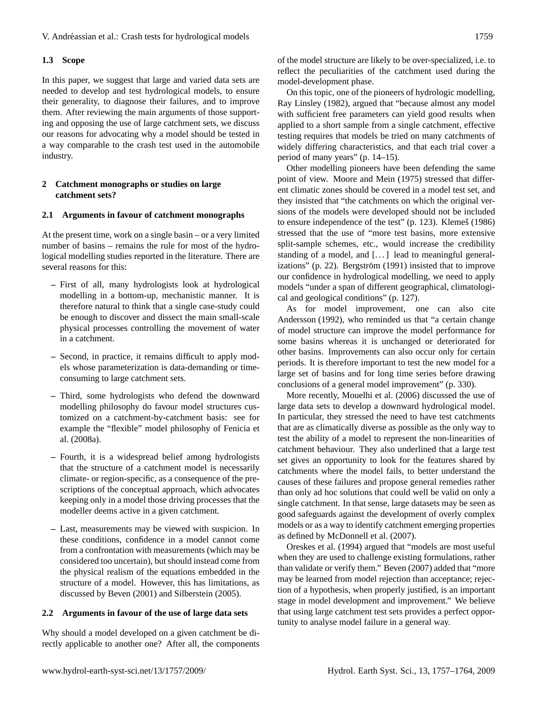## **1.3 Scope**

In this paper, we suggest that large and varied data sets are needed to develop and test hydrological models, to ensure their generality, to diagnose their failures, and to improve them. After reviewing the main arguments of those supporting and opposing the use of large catchment sets, we discuss our reasons for advocating why a model should be tested in a way comparable to the crash test used in the automobile industry.

## **2 Catchment monographs or studies on large catchment sets?**

#### **2.1 Arguments in favour of catchment monographs**

At the present time, work on a single basin – or a very limited number of basins – remains the rule for most of the hydrological modelling studies reported in the literature. There are several reasons for this:

- **–** First of all, many hydrologists look at hydrological modelling in a bottom-up, mechanistic manner. It is therefore natural to think that a single case-study could be enough to discover and dissect the main small-scale physical processes controlling the movement of water in a catchment.
- **–** Second, in practice, it remains difficult to apply models whose parameterization is data-demanding or timeconsuming to large catchment sets.
- **–** Third, some hydrologists who defend the downward modelling philosophy do favour model structures customized on a catchment-by-catchment basis: see for example the "flexible" model philosophy of Fenicia et al. (2008a).
- **–** Fourth, it is a widespread belief among hydrologists that the structure of a catchment model is necessarily climate- or region-specific, as a consequence of the prescriptions of the conceptual approach, which advocates keeping only in a model those driving processes that the modeller deems active in a given catchment.
- **–** Last, measurements may be viewed with suspicion. In these conditions, confidence in a model cannot come from a confrontation with measurements (which may be considered too uncertain), but should instead come from the physical realism of the equations embedded in the structure of a model. However, this has limitations, as discussed by Beven (2001) and Silberstein (2005).

#### **2.2 Arguments in favour of the use of large data sets**

Why should a model developed on a given catchment be directly applicable to another one? After all, the components of the model structure are likely to be over-specialized, i.e. to reflect the peculiarities of the catchment used during the model-development phase.

On this topic, one of the pioneers of hydrologic modelling, Ray Linsley (1982), argued that "because almost any model with sufficient free parameters can yield good results when applied to a short sample from a single catchment, effective testing requires that models be tried on many catchments of widely differing characteristics, and that each trial cover a period of many years" (p. 14–15).

Other modelling pioneers have been defending the same point of view. Moore and Mein (1975) stressed that different climatic zones should be covered in a model test set, and they insisted that "the catchments on which the original versions of the models were developed should not be included to ensure independence of the test"  $(p. 123)$ . Klemeš  $(1986)$ stressed that the use of "more test basins, more extensive split-sample schemes, etc., would increase the credibility standing of a model, and [...] lead to meaningful generalizations" (p. 22). Bergström (1991) insisted that to improve our confidence in hydrological modelling, we need to apply models "under a span of different geographical, climatological and geological conditions" (p. 127).

As for model improvement, one can also cite Andersson (1992), who reminded us that "a certain change of model structure can improve the model performance for some basins whereas it is unchanged or deteriorated for other basins. Improvements can also occur only for certain periods. It is therefore important to test the new model for a large set of basins and for long time series before drawing conclusions of a general model improvement" (p. 330).

More recently, Mouelhi et al. (2006) discussed the use of large data sets to develop a downward hydrological model. In particular, they stressed the need to have test catchments that are as climatically diverse as possible as the only way to test the ability of a model to represent the non-linearities of catchment behaviour. They also underlined that a large test set gives an opportunity to look for the features shared by catchments where the model fails, to better understand the causes of these failures and propose general remedies rather than only ad hoc solutions that could well be valid on only a single catchment. In that sense, large datasets may be seen as good safeguards against the development of overly complex models or as a way to identify catchment emerging properties as defined by McDonnell et al. (2007).

Oreskes et al. (1994) argued that "models are most useful when they are used to challenge existing formulations, rather than validate or verify them." Beven (2007) added that "more may be learned from model rejection than acceptance; rejection of a hypothesis, when properly justified, is an important stage in model development and improvement." We believe that using large catchment test sets provides a perfect opportunity to analyse model failure in a general way.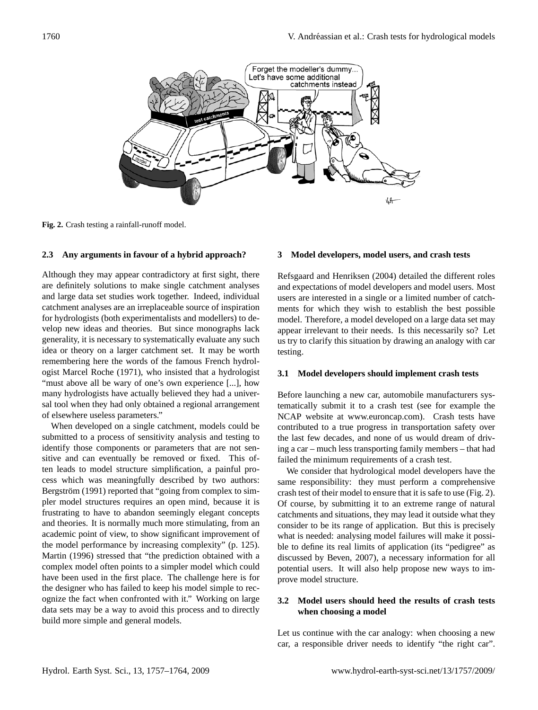

**Fig. 2.** Crash testing a rainfall-runoff model.

### **2.3 Any arguments in favour of a hybrid approach?**

Although they may appear contradictory at first sight, there are definitely solutions to make single catchment analyses and large data set studies work together. Indeed, individual catchment analyses are an irreplaceable source of inspiration for hydrologists (both experimentalists and modellers) to develop new ideas and theories. But since monographs lack generality, it is necessary to systematically evaluate any such idea or theory on a larger catchment set. It may be worth remembering here the words of the famous French hydrologist Marcel Roche (1971), who insisted that a hydrologist "must above all be wary of one's own experience [...], how many hydrologists have actually believed they had a universal tool when they had only obtained a regional arrangement of elsewhere useless parameters."

When developed on a single catchment, models could be submitted to a process of sensitivity analysis and testing to identify those components or parameters that are not sensitive and can eventually be removed or fixed. This often leads to model structure simplification, a painful process which was meaningfully described by two authors: Bergström (1991) reported that "going from complex to simpler model structures requires an open mind, because it is frustrating to have to abandon seemingly elegant concepts and theories. It is normally much more stimulating, from an academic point of view, to show significant improvement of the model performance by increasing complexity" (p. 125). Martin (1996) stressed that "the prediction obtained with a complex model often points to a simpler model which could have been used in the first place. The challenge here is for the designer who has failed to keep his model simple to recognize the fact when confronted with it." Working on large data sets may be a way to avoid this process and to directly build more simple and general models.

## **3 Model developers, model users, and crash tests**

Refsgaard and Henriksen (2004) detailed the different roles and expectations of model developers and model users. Most users are interested in a single or a limited number of catchments for which they wish to establish the best possible model. Therefore, a model developed on a large data set may appear irrelevant to their needs. Is this necessarily so? Let us try to clarify this situation by drawing an analogy with car testing.

### **3.1 Model developers should implement crash tests**

Before launching a new car, automobile manufacturers systematically submit it to a crash test (see for example the NCAP website at [www.euroncap.com\)](www.euroncap.com). Crash tests have contributed to a true progress in transportation safety over the last few decades, and none of us would dream of driving a car – much less transporting family members – that had failed the minimum requirements of a crash test.

We consider that hydrological model developers have the same responsibility: they must perform a comprehensive crash test of their model to ensure that it is safe to use (Fig. 2). Of course, by submitting it to an extreme range of natural catchments and situations, they may lead it outside what they consider to be its range of application. But this is precisely what is needed: analysing model failures will make it possible to define its real limits of application (its "pedigree" as discussed by Beven, 2007), a necessary information for all potential users. It will also help propose new ways to improve model structure.

# **3.2 Model users should heed the results of crash tests when choosing a model**

Let us continue with the car analogy: when choosing a new car, a responsible driver needs to identify "the right car".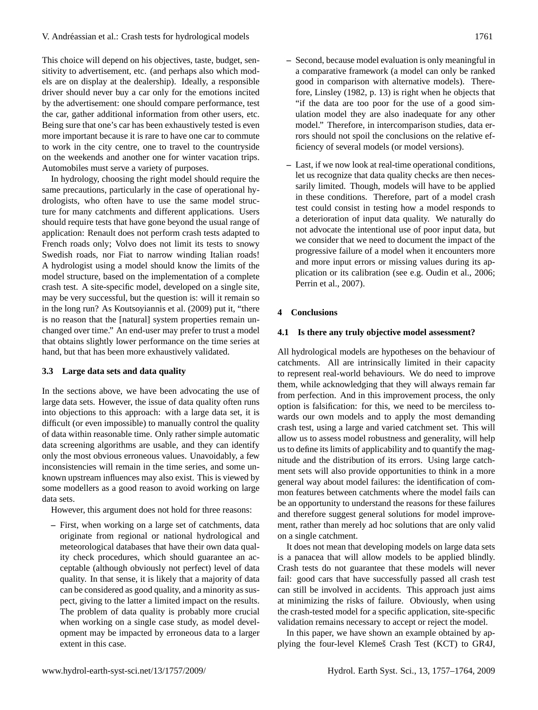This choice will depend on his objectives, taste, budget, sensitivity to advertisement, etc. (and perhaps also which models are on display at the dealership). Ideally, a responsible driver should never buy a car only for the emotions incited by the advertisement: one should compare performance, test the car, gather additional information from other users, etc. Being sure that one's car has been exhaustively tested is even more important because it is rare to have one car to commute to work in the city centre, one to travel to the countryside on the weekends and another one for winter vacation trips. Automobiles must serve a variety of purposes.

In hydrology, choosing the right model should require the same precautions, particularly in the case of operational hydrologists, who often have to use the same model structure for many catchments and different applications. Users should require tests that have gone beyond the usual range of application: Renault does not perform crash tests adapted to French roads only; Volvo does not limit its tests to snowy Swedish roads, nor Fiat to narrow winding Italian roads! A hydrologist using a model should know the limits of the model structure, based on the implementation of a complete crash test. A site-specific model, developed on a single site, may be very successful, but the question is: will it remain so in the long run? As Koutsoyiannis et al. (2009) put it, "there is no reason that the [natural] system properties remain unchanged over time." An end-user may prefer to trust a model that obtains slightly lower performance on the time series at hand, but that has been more exhaustively validated.

### **3.3 Large data sets and data quality**

In the sections above, we have been advocating the use of large data sets. However, the issue of data quality often runs into objections to this approach: with a large data set, it is difficult (or even impossible) to manually control the quality of data within reasonable time. Only rather simple automatic data screening algorithms are usable, and they can identify only the most obvious erroneous values. Unavoidably, a few inconsistencies will remain in the time series, and some unknown upstream influences may also exist. This is viewed by some modellers as a good reason to avoid working on large data sets.

However, this argument does not hold for three reasons:

**–** First, when working on a large set of catchments, data originate from regional or national hydrological and meteorological databases that have their own data quality check procedures, which should guarantee an acceptable (although obviously not perfect) level of data quality. In that sense, it is likely that a majority of data can be considered as good quality, and a minority as suspect, giving to the latter a limited impact on the results. The problem of data quality is probably more crucial when working on a single case study, as model development may be impacted by erroneous data to a larger extent in this case.

- **–** Second, because model evaluation is only meaningful in a comparative framework (a model can only be ranked good in comparison with alternative models). Therefore, Linsley (1982, p. 13) is right when he objects that "if the data are too poor for the use of a good simulation model they are also inadequate for any other model." Therefore, in intercomparison studies, data errors should not spoil the conclusions on the relative efficiency of several models (or model versions).
- **–** Last, if we now look at real-time operational conditions, let us recognize that data quality checks are then necessarily limited. Though, models will have to be applied in these conditions. Therefore, part of a model crash test could consist in testing how a model responds to a deterioration of input data quality. We naturally do not advocate the intentional use of poor input data, but we consider that we need to document the impact of the progressive failure of a model when it encounters more and more input errors or missing values during its application or its calibration (see e.g. Oudin et al., 2006; Perrin et al., 2007).

### **4 Conclusions**

#### **4.1 Is there any truly objective model assessment?**

All hydrological models are hypotheses on the behaviour of catchments. All are intrinsically limited in their capacity to represent real-world behaviours. We do need to improve them, while acknowledging that they will always remain far from perfection. And in this improvement process, the only option is falsification: for this, we need to be merciless towards our own models and to apply the most demanding crash test, using a large and varied catchment set. This will allow us to assess model robustness and generality, will help us to define its limits of applicability and to quantify the magnitude and the distribution of its errors. Using large catchment sets will also provide opportunities to think in a more general way about model failures: the identification of common features between catchments where the model fails can be an opportunity to understand the reasons for these failures and therefore suggest general solutions for model improvement, rather than merely ad hoc solutions that are only valid on a single catchment.

It does not mean that developing models on large data sets is a panacea that will allow models to be applied blindly. Crash tests do not guarantee that these models will never fail: good cars that have successfully passed all crash test can still be involved in accidents. This approach just aims at minimizing the risks of failure. Obviously, when using the crash-tested model for a specific application, site-specific validation remains necessary to accept or reject the model.

In this paper, we have shown an example obtained by applying the four-level Klemeš Crash Test (KCT) to GR4J,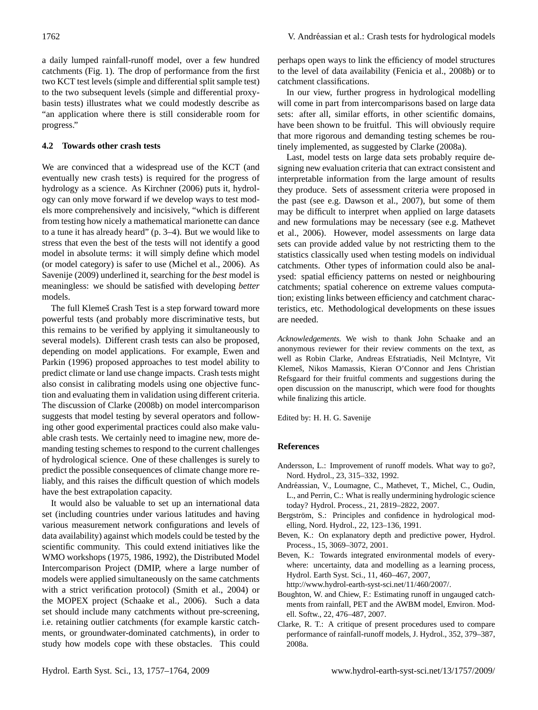a daily lumped rainfall-runoff model, over a few hundred catchments (Fig. 1). The drop of performance from the first two KCT test levels (simple and differential split sample test) to the two subsequent levels (simple and differential proxybasin tests) illustrates what we could modestly describe as "an application where there is still considerable room for progress."

# **4.2 Towards other crash tests**

We are convinced that a widespread use of the KCT (and eventually new crash tests) is required for the progress of hydrology as a science. As Kirchner (2006) puts it, hydrology can only move forward if we develop ways to test models more comprehensively and incisively, "which is different from testing how nicely a mathematical marionette can dance to a tune it has already heard" (p. 3–4). But we would like to stress that even the best of the tests will not identify a good model in absolute terms: it will simply define which model (or model category) is safer to use (Michel et al., 2006). As Savenije (2009) underlined it, searching for the *best* model is meaningless: we should be satisfied with developing *better* models.

The full Klemeš Crash Test is a step forward toward more powerful tests (and probably more discriminative tests, but this remains to be verified by applying it simultaneously to several models). Different crash tests can also be proposed, depending on model applications. For example, Ewen and Parkin (1996) proposed approaches to test model ability to predict climate or land use change impacts. Crash tests might also consist in calibrating models using one objective function and evaluating them in validation using different criteria. The discussion of Clarke (2008b) on model intercomparison suggests that model testing by several operators and following other good experimental practices could also make valuable crash tests. We certainly need to imagine new, more demanding testing schemes to respond to the current challenges of hydrological science. One of these challenges is surely to predict the possible consequences of climate change more reliably, and this raises the difficult question of which models have the best extrapolation capacity.

It would also be valuable to set up an international data set (including countries under various latitudes and having various measurement network configurations and levels of data availability) against which models could be tested by the scientific community. This could extend initiatives like the WMO workshops (1975, 1986, 1992), the Distributed Model Intercomparison Project (DMIP, where a large number of models were applied simultaneously on the same catchments with a strict verification protocol) (Smith et al., 2004) or the MOPEX project (Schaake et al., 2006). Such a data set should include many catchments without pre-screening, i.e. retaining outlier catchments (for example karstic catchments, or groundwater-dominated catchments), in order to study how models cope with these obstacles. This could

perhaps open ways to link the efficiency of model structures to the level of data availability (Fenicia et al., 2008b) or to catchment classifications.

In our view, further progress in hydrological modelling will come in part from intercomparisons based on large data sets: after all, similar efforts, in other scientific domains, have been shown to be fruitful. This will obviously require that more rigorous and demanding testing schemes be routinely implemented, as suggested by Clarke (2008a).

Last, model tests on large data sets probably require designing new evaluation criteria that can extract consistent and interpretable information from the large amount of results they produce. Sets of assessment criteria were proposed in the past (see e.g. Dawson et al., 2007), but some of them may be difficult to interpret when applied on large datasets and new formulations may be necessary (see e.g. Mathevet et al., 2006). However, model assessments on large data sets can provide added value by not restricting them to the statistics classically used when testing models on individual catchments. Other types of information could also be analysed: spatial efficiency patterns on nested or neighbouring catchments; spatial coherence on extreme values computation; existing links between efficiency and catchment characteristics, etc. Methodological developments on these issues are needed.

*Acknowledgements.* We wish to thank John Schaake and an anonymous reviewer for their review comments on the text, as well as Robin Clarke, Andreas Efstratiadis, Neil McIntyre, Vit Klemeš, Nikos Mamassis, Kieran O'Connor and Jens Christian Refsgaard for their fruitful comments and suggestions during the open discussion on the manuscript, which were food for thoughts while finalizing this article.

Edited by: H. H. G. Savenije

### **References**

- Andersson, L.: Improvement of runoff models. What way to go?, Nord. Hydrol., 23, 315–332, 1992.
- Andréassian, V., Loumagne, C., Mathevet, T., Michel, C., Oudin, L., and Perrin, C.: What is really undermining hydrologic science today? Hydrol. Process., 21, 2819–2822, 2007.
- Bergström, S.: Principles and confidence in hydrological modelling, Nord. Hydrol., 22, 123–136, 1991.
- Beven, K.: On explanatory depth and predictive power, Hydrol. Process., 15, 3069–3072, 2001.
- Beven, K.: Towards integrated environmental models of everywhere: uncertainty, data and modelling as a learning process, Hydrol. Earth Syst. Sci., 11, 460–467, 2007, [http://www.hydrol-earth-syst-sci.net/11/460/2007/.](http://www.hydrol-earth-syst-sci.net/11/460/2007/)
- Boughton, W. and Chiew, F.: Estimating runoff in ungauged catchments from rainfall, PET and the AWBM model, Environ. Modell. Softw., 22, 476–487, 2007.
- Clarke, R. T.: A critique of present procedures used to compare performance of rainfall-runoff models, J. Hydrol., 352, 379–387, 2008a.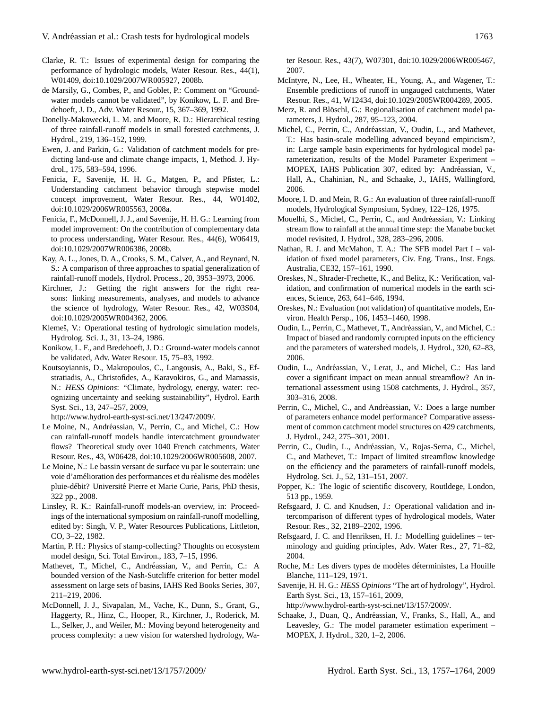- Clarke, R. T.: Issues of experimental design for comparing the performance of hydrologic models, Water Resour. Res., 44(1), W01409, doi:10.1029/2007WR005927, 2008b.
- de Marsily, G., Combes, P., and Goblet, P.: Comment on "Groundwater models cannot be validated", by Konikow, L. F. and Bredehoeft, J. D., Adv. Water Resour., 15, 367–369, 1992.
- Donelly-Makowecki, L. M. and Moore, R. D.: Hierarchical testing of three rainfall-runoff models in small forested catchments, J. Hydrol., 219, 136–152, 1999.
- Ewen, J. and Parkin, G.: Validation of catchment models for predicting land-use and climate change impacts, 1, Method. J. Hydrol., 175, 583–594, 1996.
- Fenicia, F., Savenije, H. H. G., Matgen, P., and Pfister, L.: Understanding catchment behavior through stepwise model concept improvement, Water Resour. Res., 44, W01402, doi:10.1029/2006WR005563, 2008a.
- Fenicia, F., McDonnell, J. J., and Savenije, H. H. G.: Learning from model improvement: On the contribution of complementary data to process understanding, Water Resour. Res., 44(6), W06419, doi:10.1029/2007WR006386, 2008b.
- Kay, A. L., Jones, D. A., Crooks, S. M., Calver, A., and Reynard, N. S.: A comparison of three approaches to spatial generalization of rainfall-runoff models, Hydrol. Process., 20, 3953–3973, 2006.
- Kirchner, J.: Getting the right answers for the right reasons: linking measurements, analyses, and models to advance the science of hydrology, Water Resour. Res., 42, W03S04, doi:10.1029/2005WR004362, 2006.
- Klemeš, V.: Operational testing of hydrologic simulation models, Hydrolog. Sci. J., 31, 13–24, 1986.
- Konikow, L. F., and Bredehoeft, J. D.: Ground-water models cannot be validated, Adv. Water Resour. 15, 75–83, 1992.
- Koutsoyiannis, D., Makropoulos, C., Langousis, A., Baki, S., Efstratiadis, A., Christofides, A., Karavokiros, G., and Mamassis, N.: *HESS Opinions*: "Climate, hydrology, energy, water: recognizing uncertainty and seeking sustainability", Hydrol. Earth Syst. Sci., 13, 247–257, 2009,

[http://www.hydrol-earth-syst-sci.net/13/247/2009/.](http://www.hydrol-earth-syst-sci.net/13/247/2009/)

- Le Moine, N., Andréassian, V., Perrin, C., and Michel, C.: How can rainfall-runoff models handle intercatchment groundwater flows? Theoretical study over 1040 French catchments, Water Resour. Res., 43, W06428, doi:10.1029/2006WR005608, 2007.
- Le Moine, N.: Le bassin versant de surface vu par le souterrain: une voie d'amélioration des performances et du réalisme des modèles pluie-débit? Université Pierre et Marie Curie, Paris, PhD thesis, 322 pp., 2008.
- Linsley, R. K.: Rainfall-runoff models-an overview, in: Proceedings of the international symposium on rainfall-runoff modelling, edited by: Singh, V. P., Water Resources Publications, Littleton, CO, 3–22, 1982.
- Martin, P. H.: Physics of stamp-collecting? Thoughts on ecosystem model design, Sci. Total Environ., 183, 7–15, 1996.
- Mathevet, T., Michel, C., Andréassian, V., and Perrin, C.: A bounded version of the Nash-Sutcliffe criterion for better model assessment on large sets of basins, IAHS Red Books Series, 307, 211–219, 2006.
- McDonnell, J. J., Sivapalan, M., Vache, K., Dunn, S., Grant, G., Haggerty, R., Hinz, C., Hooper, R., Kirchner, J., Roderick, M. L., Selker, J., and Weiler, M.: Moving beyond heterogeneity and process complexity: a new vision for watershed hydrology, Wa-

ter Resour. Res., 43(7), W07301, doi:10.1029/2006WR005467, 2007.

- McIntyre, N., Lee, H., Wheater, H., Young, A., and Wagener, T.: Ensemble predictions of runoff in ungauged catchments, Water Resour. Res., 41, W12434, doi:10.1029/2005WR004289, 2005.
- Merz, R. and Blöschl, G.: Regionalisation of catchment model parameters, J. Hydrol., 287, 95–123, 2004.
- Michel, C., Perrin, C., Andréassian, V., Oudin, L., and Mathevet, T.: Has basin-scale modelling advanced beyond empiricism?, in: Large sample basin experiments for hydrological model parameterization, results of the Model Parameter Experiment – MOPEX, IAHS Publication 307, edited by: Andréassian, V. Hall, A., Chahinian, N., and Schaake, J., IAHS, Wallingford, 2006.
- Moore, I. D. and Mein, R. G.: An evaluation of three rainfall-runoff models, Hydrological Symposium, Sydney, 122–126, 1975.
- Mouelhi, S., Michel, C., Perrin, C., and Andréassian, V.: Linking stream flow to rainfall at the annual time step: the Manabe bucket model revisited, J. Hydrol., 328, 283–296, 2006.
- Nathan, R. J. and McMahon, T. A.: The SFB model Part I validation of fixed model parameters, Civ. Eng. Trans., Inst. Engs. Australia, CE32, 157–161, 1990.
- Oreskes, N., Shrader-Frechette, K., and Belitz, K.: Verification, validation, and confirmation of numerical models in the earth sciences, Science, 263, 641–646, 1994.
- Oreskes, N.: Evaluation (not validation) of quantitative models, Environ. Health Persp., 106, 1453–1460, 1998.
- Oudin, L., Perrin, C., Mathevet, T., Andreassian, V., and Michel, C.: ´ Impact of biased and randomly corrupted inputs on the efficiency and the parameters of watershed models, J. Hydrol., 320, 62–83, 2006.
- Oudin, L., Andréassian, V., Lerat, J., and Michel, C.: Has land cover a significant impact on mean annual streamflow? An international assessment using 1508 catchments, J. Hydrol., 357, 303–316, 2008.
- Perrin, C., Michel, C., and Andréassian, V.: Does a large number of parameters enhance model performance? Comparative assessment of common catchment model structures on 429 catchments, J. Hydrol., 242, 275–301, 2001.
- Perrin, C., Oudin, L., Andréassian, V., Rojas-Serna, C., Michel, C., and Mathevet, T.: Impact of limited streamflow knowledge on the efficiency and the parameters of rainfall-runoff models, Hydrolog. Sci. J., 52, 131–151, 2007.
- Popper, K.: The logic of scientific discovery, Routldege, London, 513 pp., 1959.
- Refsgaard, J. C. and Knudsen, J.: Operational validation and intercomparison of different types of hydrological models, Water Resour. Res., 32, 2189–2202, 1996.
- Refsgaard, J. C. and Henriksen, H. J.: Modelling guidelines terminology and guiding principles, Adv. Water Res., 27, 71–82, 2004.
- Roche, M.: Les divers types de modèles déterministes, La Houille Blanche, 111–129, 1971.
- Savenije, H. H. G.: *HESS Opinions* "The art of hydrology", Hydrol. Earth Syst. Sci., 13, 157–161, 2009,
- [http://www.hydrol-earth-syst-sci.net/13/157/2009/.](http://www.hydrol-earth-syst-sci.net/13/157/2009/)
- Schaake, J., Duan, Q., Andreassian, V., Franks, S., Hall, A., and ´ Leavesley, G.: The model parameter estimation experiment – MOPEX, J. Hydrol., 320, 1–2, 2006.